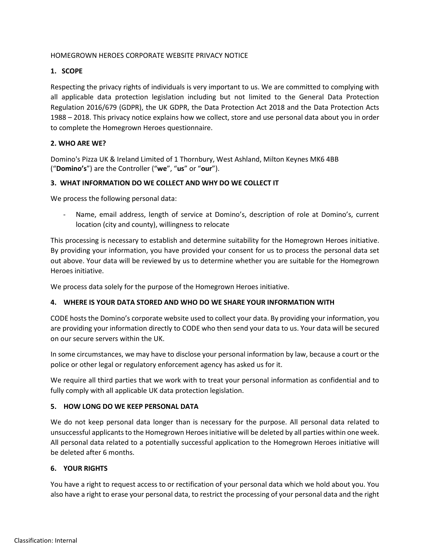### HOMEGROWN HEROES CORPORATE WEBSITE PRIVACY NOTICE

# **1. SCOPE**

Respecting the privacy rights of individuals is very important to us. We are committed to complying with all applicable data protection legislation including but not limited to the General Data Protection Regulation 2016/679 (GDPR), the UK GDPR, the Data Protection Act 2018 and the Data Protection Acts 1988 – 2018. This privacy notice explains how we collect, store and use personal data about you in order to complete the Homegrown Heroes questionnaire.

### **2. WHO ARE WE?**

Domino's Pizza UK & Ireland Limited of 1 Thornbury, West Ashland, Milton Keynes MK6 4BB ("**Domino's**") are the Controller ("**we**", "**us**" or "**our**").

# **3. WHAT INFORMATION DO WE COLLECT AND WHY DO WE COLLECT IT**

We process the following personal data:

Name, email address, length of service at Domino's, description of role at Domino's, current location (city and county), willingness to relocate

This processing is necessary to establish and determine suitability for the Homegrown Heroes initiative. By providing your information, you have provided your consent for us to process the personal data set out above. Your data will be reviewed by us to determine whether you are suitable for the Homegrown Heroes initiative.

We process data solely for the purpose of the Homegrown Heroes initiative.

#### **4. WHERE IS YOUR DATA STORED AND WHO DO WE SHARE YOUR INFORMATION WITH**

CODE hosts the Domino's corporate website used to collect your data. By providing your information, you are providing your information directly to CODE who then send your data to us. Your data will be secured on our secure servers within the UK.

In some circumstances, we may have to disclose your personal information by law, because a court or the police or other legal or regulatory enforcement agency has asked us for it.

We require all third parties that we work with to treat your personal information as confidential and to fully comply with all applicable UK data protection legislation.

#### **5. HOW LONG DO WE KEEP PERSONAL DATA**

We do not keep personal data longer than is necessary for the purpose. All personal data related to unsuccessful applicants to the Homegrown Heroes initiative will be deleted by all parties within one week. All personal data related to a potentially successful application to the Homegrown Heroes initiative will be deleted after 6 months.

# **6. YOUR RIGHTS**

You have a right to request access to or rectification of your personal data which we hold about you. You also have a right to erase your personal data, to restrict the processing of your personal data and the right